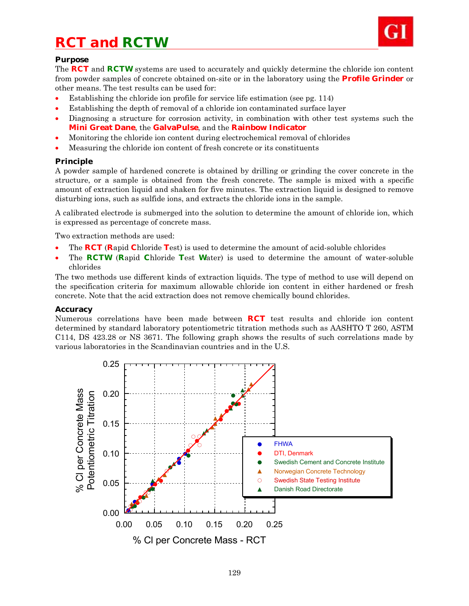# *RCT and RCTW*



## **Purpose**

The **RCT** and **RCTW** systems are used to accurately and quickly determine the chloride ion content from powder samples of concrete obtained on-site or in the laboratory using the **Profile Grinder** or other means. The test results can be used for:

- Establishing the chloride ion profile for service life estimation (see pg. 114)
- Establishing the depth of removal of a chloride ion contaminated surface layer
- Diagnosing a structure for corrosion activity, in combination with other test systems such the **Mini Great Dane**, the **GalvaPulse**, and the **Rainbow Indicator**
- Monitoring the chloride ion content during electrochemical removal of chlorides
- Measuring the chloride ion content of fresh concrete or its constituents

## **Principle**

A powder sample of hardened concrete is obtained by drilling or grinding the cover concrete in the structure, or a sample is obtained from the fresh concrete. The sample is mixed with a specific amount of extraction liquid and shaken for five minutes. The extraction liquid is designed to remove disturbing ions, such as sulfide ions, and extracts the chloride ions in the sample.

A calibrated electrode is submerged into the solution to determine the amount of chloride ion, which is expressed as percentage of concrete mass.

Two extraction methods are used:

- The **RCT** (**R**apid **C**hloride **T**est) is used to determine the amount of acid-soluble chlorides
- The **RCTW** (**R**apid **C**hloride **T**est **W**ater) is used to determine the amount of water-soluble chlorides

The two methods use different kinds of extraction liquids. The type of method to use will depend on the specification criteria for maximum allowable chloride ion content in either hardened or fresh concrete. Note that the acid extraction does not remove chemically bound chlorides.

### **Accuracy**

Numerous correlations have been made between **RCT** test results and chloride ion content determined by standard laboratory potentiometric titration methods such as AASHTO T 260, ASTM C114, DS 423.28 or NS 3671. The following graph shows the results of such correlations made by various laboratories in the Scandinavian countries and in the U.S.

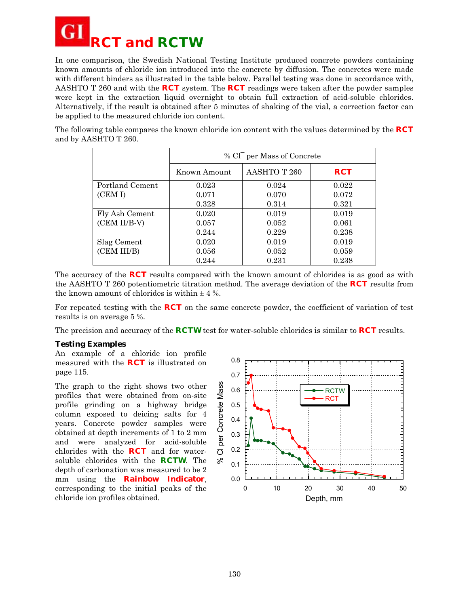

In one comparison, the Swedish National Testing Institute produced concrete powders containing known amounts of chloride ion introduced into the concrete by diffusion. The concretes were made with different binders as illustrated in the table below. Parallel testing was done in accordance with, AASHTO T 260 and with the **RCT** system. The **RCT** readings were taken after the powder samples were kept in the extraction liquid overnight to obtain full extraction of acid-soluble chlorides. Alternatively, if the result is obtained after 5 minutes of shaking of the vial, a correction factor can be applied to the measured chloride ion content.

The following table compares the known chloride ion content with the values determined by the **RCT** and by AASHTO T 260.

|                 | % Cl <sup>-</sup> per Mass of Concrete |              |            |  |
|-----------------|----------------------------------------|--------------|------------|--|
|                 | Known Amount                           | AASHTO T 260 | <b>RCT</b> |  |
| Portland Cement | 0.023                                  | 0.024        | 0.022      |  |
| (CEM I)         | 0.071                                  | 0.070        | 0.072      |  |
|                 | 0.328                                  | 0.314        | 0.321      |  |
| Fly Ash Cement  | 0.020                                  | 0.019        | 0.019      |  |
| (CEM II/B-V)    | 0.057                                  | 0.052        | 0.061      |  |
|                 | 0.244                                  | 0.229        | 0.238      |  |
| Slag Cement     | 0.020                                  | 0.019        | 0.019      |  |
| (CEM III/B)     | 0.056                                  | 0.052        | 0.059      |  |
|                 | 0.244                                  | 0.231        | 0.238      |  |

The accuracy of the **RCT** results compared with the known amount of chlorides is as good as with the AASHTO T 260 potentiometric titration method. The average deviation of the **RCT** results from the known amount of chlorides is within  $\pm$  4 %.

For repeated testing with the **RCT** on the same concrete powder, the coefficient of variation of test results is on average 5 %.

The precision and accuracy of the **RCTW** test for water-soluble chlorides is similar to **RCT** results.

### **Testing Examples**

An example of a chloride ion profile measured with the **RCT** is illustrated on page 115.

The graph to the right shows two other profiles that were obtained from on-site profile grinding on a highway bridge column exposed to deicing salts for 4 years. Concrete powder samples were obtained at depth increments of 1 to 2 mm and were analyzed for acid-soluble chlorides with the **RCT** and for watersoluble chlorides with the **RCTW**. The depth of carbonation was measured to be 2 mm using the **Rainbow Indicator**, corresponding to the initial peaks of the chloride ion profiles obtained.

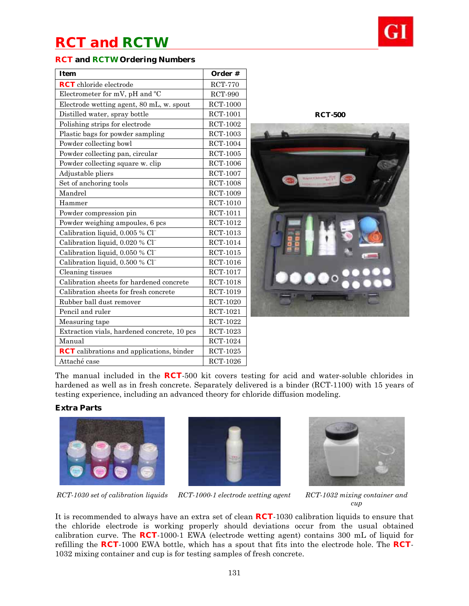## *RCT and RCTW*

## **RCT and RCTW Ordering Numbers**

| <b>Item</b>                                      | Order #         |
|--------------------------------------------------|-----------------|
| <b>RCT</b> chloride electrode                    | <b>RCT-770</b>  |
| Electrometer for mV, pH and °C                   | <b>RCT-990</b>  |
| Electrode wetting agent, 80 mL, w. spout         | <b>RCT-1000</b> |
| Distilled water, spray bottle                    | <b>RCT-1001</b> |
| Polishing strips for electrode                   | <b>RCT-1002</b> |
| Plastic bags for powder sampling                 | <b>RCT-1003</b> |
| Powder collecting bowl                           | RCT-1004        |
| Powder collecting pan, circular                  | $RCT-1005$      |
| Powder collecting square w. clip                 | <b>RCT-1006</b> |
| Adjustable pliers                                | <b>RCT-1007</b> |
| Set of anchoring tools                           | <b>RCT-1008</b> |
| Mandrel                                          | <b>RCT-1009</b> |
| Hammer                                           | <b>RCT-1010</b> |
| Powder compression pin                           | RCT-1011        |
| Powder weighing ampoules, 6 pcs                  | <b>RCT-1012</b> |
| Calibration liquid, 0.005 % Cl <sup>-</sup>      | RCT-1013        |
| Calibration liquid, 0.020 % Cl <sup>-</sup>      | RCT-1014        |
| Calibration liquid, 0.050 % Cl <sup>-</sup>      | <b>RCT-1015</b> |
| Calibration liquid, 0.500 % Cl <sup>-</sup>      | RCT-1016        |
| Cleaning tissues                                 | <b>RCT-1017</b> |
| Calibration sheets for hardened concrete         | <b>RCT-1018</b> |
| Calibration sheets for fresh concrete            | RCT-1019        |
| Rubber ball dust remover                         | $RCT-1020$      |
| Pencil and ruler                                 | RCT-1021        |
| Measuring tape                                   | RCT-1022        |
| Extraction vials, hardened concrete, 10 pcs      | RCT-1023        |
| Manual                                           | RCT-1024        |
| <b>RCT</b> calibrations and applications, binder | <b>RCT-1025</b> |
| Attaché case                                     | RCT-1026        |

**RCT-500** 



The manual included in the **RCT**-500 kit covers testing for acid and water-soluble chlorides in hardened as well as in fresh concrete. Separately delivered is a binder (RCT-1100) with 15 years of testing experience, including an advanced theory for chloride diffusion modeling.

## **Extra Parts**







*RCT-1030 set of calibration liquids RCT-1000-1 electrode wetting agent RCT-1032 mixing container and* 

*cup* 

It is recommended to always have an extra set of clean **RCT**-1030 calibration liquids to ensure that the chloride electrode is working properly should deviations occur from the usual obtained calibration curve. The **RCT**-1000-1 EWA (electrode wetting agent) contains 300 mL of liquid for refilling the **RCT**-1000 EWA bottle, which has a spout that fits into the electrode hole. The **RCT**-1032 mixing container and cup is for testing samples of fresh concrete.